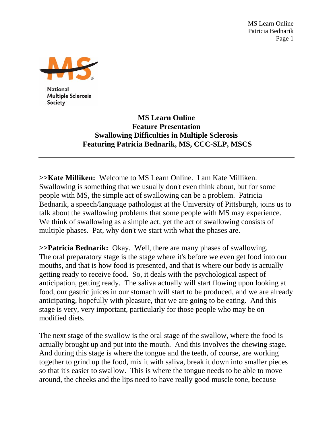MS Learn Online Patricia Bednarik Page 1



**National Multiple Sclerosis** Society

## **MS Learn Online Feature Presentation Swallowing Difficulties in Multiple Sclerosis Featuring Patricia Bednarik, MS, CCC-SLP, MSCS**

**>>Kate Milliken:** Welcome to MS Learn Online. I am Kate Milliken. Swallowing is something that we usually don't even think about, but for some people with MS, the simple act of swallowing can be a problem. Patricia Bednarik, a speech/language pathologist at the University of Pittsburgh, joins us to talk about the swallowing problems that some people with MS may experience. We think of swallowing as a simple act, yet the act of swallowing consists of multiple phases. Pat, why don't we start with what the phases are.

**>>Patricia Bednarik:** Okay. Well, there are many phases of swallowing. The oral preparatory stage is the stage where it's before we even get food into our mouths, and that is how food is presented, and that is where our body is actually getting ready to receive food. So, it deals with the psychological aspect of anticipation, getting ready. The saliva actually will start flowing upon looking at food, our gastric juices in our stomach will start to be produced, and we are already anticipating, hopefully with pleasure, that we are going to be eating. And this stage is very, very important, particularly for those people who may be on modified diets.

The next stage of the swallow is the oral stage of the swallow, where the food is actually brought up and put into the mouth. And this involves the chewing stage. And during this stage is where the tongue and the teeth, of course, are working together to grind up the food, mix it with saliva, break it down into smaller pieces so that it's easier to swallow. This is where the tongue needs to be able to move around, the cheeks and the lips need to have really good muscle tone, because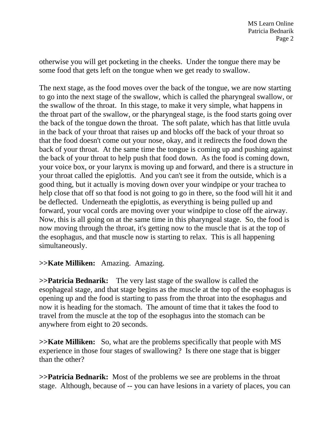otherwise you will get pocketing in the cheeks. Under the tongue there may be some food that gets left on the tongue when we get ready to swallow.

The next stage, as the food moves over the back of the tongue, we are now starting to go into the next stage of the swallow, which is called the pharyngeal swallow, or the swallow of the throat. In this stage, to make it very simple, what happens in the throat part of the swallow, or the pharyngeal stage, is the food starts going over the back of the tongue down the throat. The soft palate, which has that little uvula in the back of your throat that raises up and blocks off the back of your throat so that the food doesn't come out your nose, okay, and it redirects the food down the back of your throat. At the same time the tongue is coming up and pushing against the back of your throat to help push that food down. As the food is coming down, your voice box, or your larynx is moving up and forward, and there is a structure in your throat called the epiglottis. And you can't see it from the outside, which is a good thing, but it actually is moving down over your windpipe or your trachea to help close that off so that food is not going to go in there, so the food will hit it and be deflected. Underneath the epiglottis, as everything is being pulled up and forward, your vocal cords are moving over your windpipe to close off the airway. Now, this is all going on at the same time in this pharyngeal stage. So, the food is now moving through the throat, it's getting now to the muscle that is at the top of the esophagus, and that muscle now is starting to relax. This is all happening simultaneously.

## **>>Kate Milliken:** Amazing. Amazing.

**>>Patricia Bednarik:** The very last stage of the swallow is called the esophageal stage, and that stage begins as the muscle at the top of the esophagus is opening up and the food is starting to pass from the throat into the esophagus and now it is heading for the stomach. The amount of time that it takes the food to travel from the muscle at the top of the esophagus into the stomach can be anywhere from eight to 20 seconds.

**>>Kate Milliken:** So, what are the problems specifically that people with MS experience in those four stages of swallowing? Is there one stage that is bigger than the other?

**>>Patricia Bednarik:** Most of the problems we see are problems in the throat stage. Although, because of -- you can have lesions in a variety of places, you can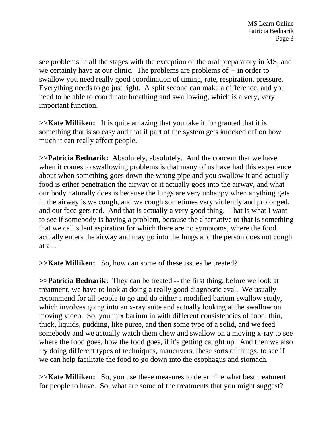see problems in all the stages with the exception of the oral preparatory in MS, and we certainly have at our clinic. The problems are problems of -- in order to swallow you need really good coordination of timing, rate, respiration, pressure. Everything needs to go just right. A split second can make a difference, and you need to be able to coordinate breathing and swallowing, which is a very, very important function.

**>>Kate Milliken:** It is quite amazing that you take it for granted that it is something that is so easy and that if part of the system gets knocked off on how much it can really affect people.

**>>Patricia Bednarik:** Absolutely, absolutely. And the concern that we have when it comes to swallowing problems is that many of us have had this experience about when something goes down the wrong pipe and you swallow it and actually food is either penetration the airway or it actually goes into the airway, and what our body naturally does is because the lungs are very unhappy when anything gets in the airway is we cough, and we cough sometimes very violently and prolonged, and our face gets red. And that is actually a very good thing. That is what I want to see if somebody is having a problem, because the alternative to that is something that we call silent aspiration for which there are no symptoms, where the food actually enters the airway and may go into the lungs and the person does not cough at all.

**>>Kate Milliken:** So, how can some of these issues be treated?

**>>Patricia Bednarik:** They can be treated -- the first thing, before we look at treatment, we have to look at doing a really good diagnostic eval. We usually recommend for all people to go and do either a modified barium swallow study, which involves going into an x-ray suite and actually looking at the swallow on moving video. So, you mix barium in with different consistencies of food, thin, thick, liquids, pudding, like puree, and then some type of a solid, and we feed somebody and we actually watch them chew and swallow on a moving x-ray to see where the food goes, how the food goes, if it's getting caught up. And then we also try doing different types of techniques, maneuvers, these sorts of things, to see if we can help facilitate the food to go down into the esophagus and stomach.

**>>Kate Milliken:** So, you use these measures to determine what best treatment for people to have. So, what are some of the treatments that you might suggest?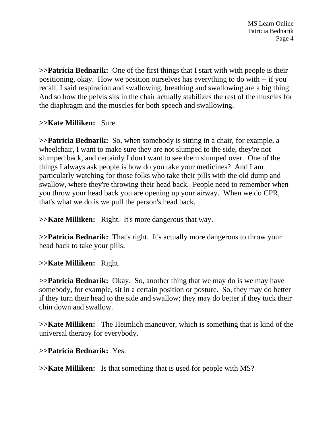MS Learn Online Patricia Bednarik Page 4

**>>Patricia Bednarik:** One of the first things that I start with with people is their positioning, okay. How we position ourselves has everything to do with -- if you recall, I said respiration and swallowing, breathing and swallowing are a big thing. And so how the pelvis sits in the chair actually stabilizes the rest of the muscles for the diaphragm and the muscles for both speech and swallowing.

**>>Kate Milliken:** Sure.

**>>Patricia Bednarik:** So, when somebody is sitting in a chair, for example, a wheelchair, I want to make sure they are not slumped to the side, they're not slumped back, and certainly I don't want to see them slumped over. One of the things I always ask people is how do you take your medicines? And I am particularly watching for those folks who take their pills with the old dump and swallow, where they're throwing their head back. People need to remember when you throw your head back you are opening up your airway. When we do CPR, that's what we do is we pull the person's head back.

**>>Kate Milliken:** Right. It's more dangerous that way.

**>>Patricia Bednarik:** That's right. It's actually more dangerous to throw your head back to take your pills.

**>>Kate Milliken:** Right.

**>>Patricia Bednarik:** Okay. So, another thing that we may do is we may have somebody, for example, sit in a certain position or posture. So, they may do better if they turn their head to the side and swallow; they may do better if they tuck their chin down and swallow.

**>>Kate Milliken:** The Heimlich maneuver, which is something that is kind of the universal therapy for everybody.

## **>>Patricia Bednarik:** Yes.

**>>Kate Milliken:** Is that something that is used for people with MS?